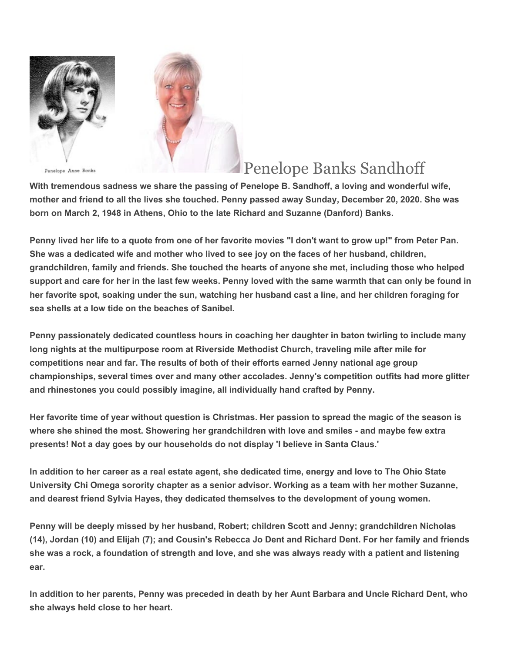

Penelope Anne Banks

## Penelope Banks Sandhoff

**With tremendous sadness we share the passing of Penelope B. Sandhoff, a loving and wonderful wife, mother and friend to all the lives she touched. Penny passed away Sunday, December 20, 2020. She was born on March 2, 1948 in Athens, Ohio to the late Richard and Suzanne (Danford) Banks.**

**Penny lived her life to a quote from one of her favorite movies "I don't want to grow up!" from Peter Pan. She was a dedicated wife and mother who lived to see joy on the faces of her husband, children, grandchildren, family and friends. She touched the hearts of anyone she met, including those who helped support and care for her in the last few weeks. Penny loved with the same warmth that can only be found in her favorite spot, soaking under the sun, watching her husband cast a line, and her children foraging for sea shells at a low tide on the beaches of Sanibel.**

**Penny passionately dedicated countless hours in coaching her daughter in baton twirling to include many long nights at the multipurpose room at Riverside Methodist Church, traveling mile after mile for competitions near and far. The results of both of their efforts earned Jenny national age group championships, several times over and many other accolades. Jenny's competition outfits had more glitter and rhinestones you could possibly imagine, all individually hand crafted by Penny.**

**Her favorite time of year without question is Christmas. Her passion to spread the magic of the season is where she shined the most. Showering her grandchildren with love and smiles - and maybe few extra presents! Not a day goes by our households do not display 'I believe in Santa Claus.'**

**In addition to her career as a real estate agent, she dedicated time, energy and love to The Ohio State University Chi Omega sorority chapter as a senior advisor. Working as a team with her mother Suzanne, and dearest friend Sylvia Hayes, they dedicated themselves to the development of young women.**

**Penny will be deeply missed by her husband, Robert; children Scott and Jenny; grandchildren Nicholas (14), Jordan (10) and Elijah (7); and Cousin's Rebecca Jo Dent and Richard Dent. For her family and friends she was a rock, a foundation of strength and love, and she was always ready with a patient and listening ear.**

**In addition to her parents, Penny was preceded in death by her Aunt Barbara and Uncle Richard Dent, who she always held close to her heart.**